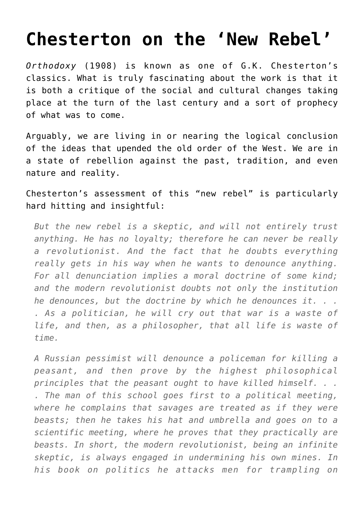## **[Chesterton on the 'New Rebel'](https://intellectualtakeout.org/2016/05/chesterton-on-the-new-rebel/)**

*Orthodoxy* (1908) is known as one of G.K. Chesterton's classics. What is truly fascinating about the work is that it is both a critique of the social and cultural changes taking place at the turn of the last century and a sort of prophecy of what was to come.

Arguably, we are living in or nearing the logical conclusion of the ideas that upended the old order of the West. We are in a state of rebellion against the past, tradition, and even nature and reality.

Chesterton's assessment of this "new rebel" is particularly hard hitting and insightful:

*But the new rebel is a skeptic, and will not entirely trust anything. He has no loyalty; therefore he can never be really a revolutionist. And the fact that he doubts everything really gets in his way when he wants to denounce anything. For all denunciation implies a moral doctrine of some kind; and the modern revolutionist doubts not only the institution he denounces, but the doctrine by which he denounces it. . . . As a politician, he will cry out that war is a waste of life, and then, as a philosopher, that all life is waste of time.*

*A Russian pessimist will denounce a policeman for killing a peasant, and then prove by the highest philosophical principles that the peasant ought to have killed himself. . . . The man of this school goes first to a political meeting, where he complains that savages are treated as if they were beasts; then he takes his hat and umbrella and goes on to a scientific meeting, where he proves that they practically are beasts. In short, the modern revolutionist, being an infinite skeptic, is always engaged in undermining his own mines. In his book on politics he attacks men for trampling on*